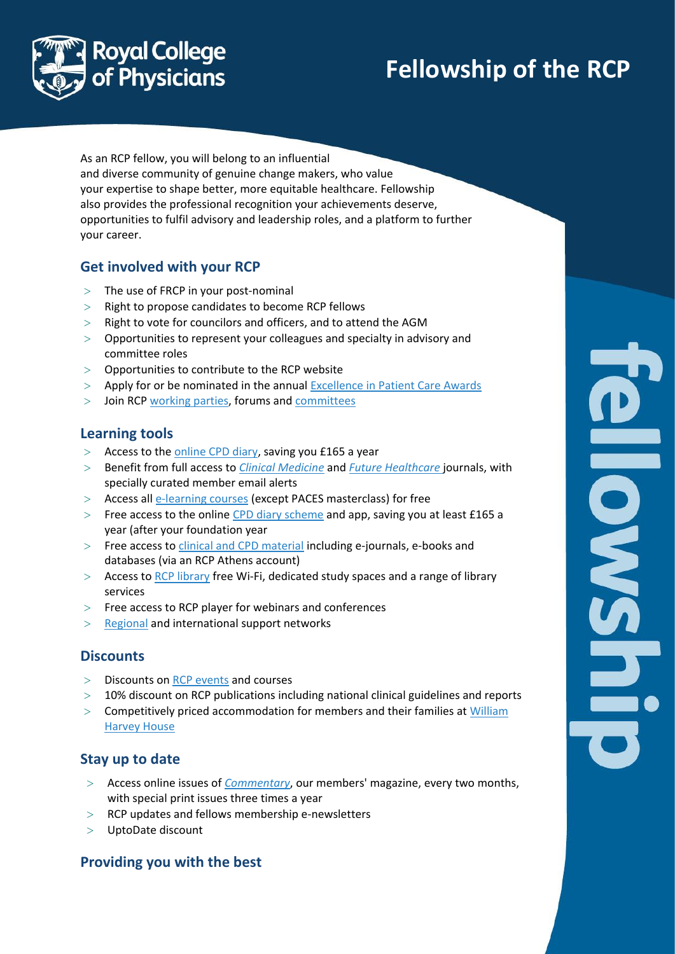# **Fellowship of the RCP**

**ONSWER** 



As an RCP fellow, you will belong to an influential and diverse community of genuine change makers, who value your expertise to shape better, more equitable healthcare. Fellowship also provides the professional recognition your achievements deserve, opportunities to fulfil advisory and leadership roles, and a platform to further your career.

## **Get involved with your RCP**

- $>$  The use of FRCP in your post-nominal
- $>$  Right to propose candidates to become RCP fellows
- $>$  Right to vote for councilors and officers, and to attend the AGM
- Opportunities to represent your colleagues and specialty in advisory and committee roles
- $>$  Opportunities to contribute to the RCP website
- Apply for or be nominated in the annual [Excellence in Patient Care Awards](https://www.rcplondon.ac.uk/education-practice/funding-awards/rcp-excellence-patient-care-awards)
- Join RCP working parties, forums and committees

### **Learning tools**

- > Access to the [online CPD diary,](https://www.rcplondon.ac.uk/education-practice/advice/guidelines-cpd-diary) saving you £165 a year
- Benefit from full access to *[Clinical Medicine](https://www.rcplondon.ac.uk/education-practice/rcp-journals/clinical-medicine-journal)* and *[Future Healthcare](https://www.rcplondon.ac.uk/education-practice/rcp-journals/future-healthcare-journal)* journals, with specially curated member email alerts
- > Access all [e-learning courses](https://store.rcplondon.ac.uk/) (except PACES masterclass) for free
- Free access to the online [CPD diary scheme](https://www.rcplondon.ac.uk/education-practice/advice/guidelines-cpd-diary) and app, saving you at least £165 a year (after your foundation year
- Free access t[o clinical and CPD material](https://www.rcplondon.ac.uk/education-practice/library/clinical-and-educational-material) including e-journals, e-books and databases (via an RCP Athens account)
- $>$  Access to [RCP library](https://www.rcplondon.ac.uk/education-practice/library) free Wi-Fi, dedicated study spaces and a range of library services
- $>$  Free access to RCP player for webinars and conferences
- $>$  [Regional](https://www.rcplondon.ac.uk/about-us/what-we-do/uk-regional-network) and international support networks

### **Discounts**

- $>$  Discounts on [RCP events](https://www.rcplondon.ac.uk/events) and courses
- $>$  10% discount on RCP publications including national clinical guidelines and reports
- > Competitively priced accommodation for members and their families at William [Harvey House](https://www.rcplondon.ac.uk/about-rcp/venue/william-harvey-house)

# **Stay up to date**

- Access online issues of *[Commentary](https://www.rcplondon.ac.uk/education-practice/library-journals/commentary-magazine)*, our members' magazine, every two months, with special print issues three times a year
- $>$  RCP updates and fellows membership e-newsletters
- UptoDate discount

### **Providing you with the best**